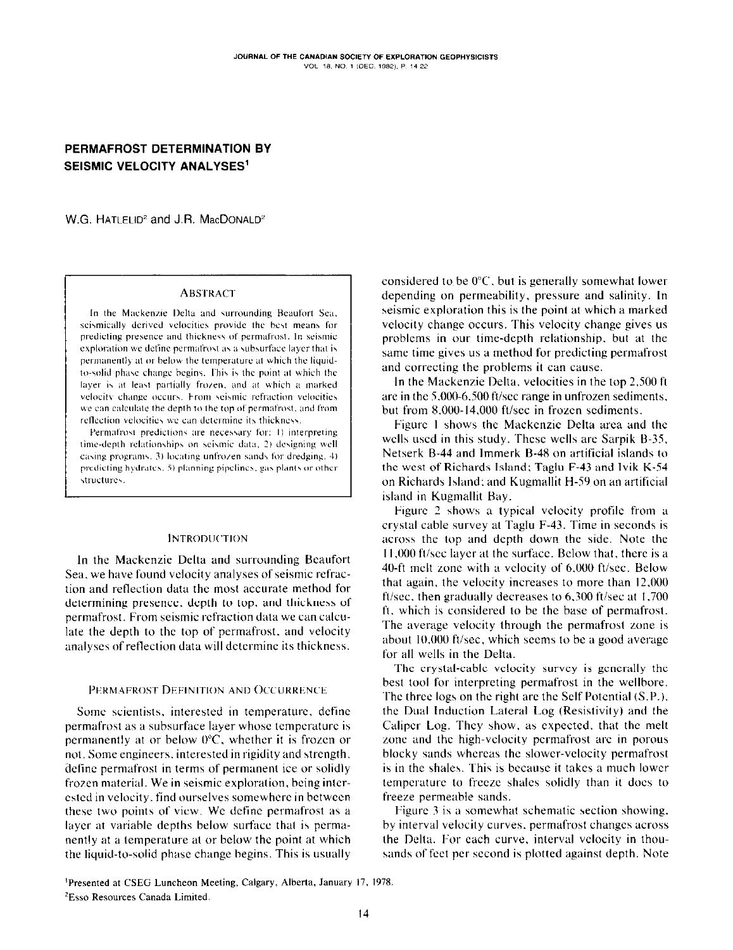# PERMAFROST DETERMINATION BY SEISMIC VELOCITY ANALYSES<sup>1</sup>

W.G. HATLELID<sup>2</sup> and J.R. MacDONALD<sup>2</sup>

### **ABSTRACT**

In the Mackenzie Delta and surrounding Beaufort Sea, seismically derived velocities provide the best means for predicting presence and thickness of permafrost. In seismic exploration we define permafrost as a subsurface layer that is permanently at or below the temperature at which the liquidto-solid phase change begins. This is the point at which the layer is at least partially frozen, and at which a marked velocity change occurs. From seismic refraction velocities we can calculate the depth to the top of permafrost, and from reflection velocities we can determine its thickness.

Permafrost predictions are necessary for: 1) interpreting time-depth relationships on seismic data, 2) designing well casing programs, 3) locating unfrozen sands for dredging, 4) predicting hydrates. 5) planning pipelines, gas plants or other structures.

### **INTRODUCTION**

In the Mackenzie Delta and surrounding Beaufort Sea, we have found velocity analyses of seismic refraction and reflection data the most accurate method for determining presence, depth to top, and thickness of permafrost. From seismic refraction data we can calculate the depth to the top of permafrost, and velocity analyses of reflection data will determine its thickness.

### PERMAFROST DEFINITION AND OCCURRENCE

Some scientists, interested in temperature, define permafrost as a subsurface layer whose temperature is permanently at or below  $0^{\circ}$ C, whether it is frozen or not. Some engineers, interested in rigidity and strength, define permafrost in terms of permanent ice or solidly frozen material. We in seismic exploration, being interested in velocity, find ourselves somewhere in between these two points of view. We define permafrost as a layer at variable depths below surface that is permanently at a temperature at or below the point at which the liquid-to-solid phase change begins. This is usually considered to be  $0^{\circ}$ C, but is generally somewhat lower depending on permeability, pressure and salinity. In seismic exploration this is the point at which a marked velocity change occurs. This velocity change gives us problems in our time-depth relationship, but at the same time gives us a method for predicting permafrost and correcting the problems it can cause.

In the Mackenzie Delta, velocities in the top 2,500 ft are in the 5,000-6,500 ft/sec range in unfrozen sediments, but from 8,000-14,000 ft/sec in frozen sediments.

Figure 1 shows the Mackenzie Delta area and the wells used in this study. These wells are Sarpik B-35, Netserk B-44 and Immerk B-48 on artificial islands to the west of Richards Island; Taglu F-43 and Ivik K-54 on Richards Island; and Kugmallit H-59 on an artificial island in Kugmallit Bay.

Figure 2 shows a typical velocity profile from a crystal cable survey at Taglu F-43. Time in seconds is across the top and depth down the side. Note the 11,000 ft/see layer at the surface. Below that, there is a 40-ft melt zone with a velocity of 6,000 ft/sec. Below that again, the velocity increases to more than 12,000 ft/sec, then gradually decreases to  $6,300$  ft/sec at 1,700 ft, which is considered to be the base of permafrost. The average velocity through the permafrost zone is about  $10,000$  ft/sec, which seems to be a good average for all wells in the Delta.

The crystal-cable velocity survey is generally the best tool for interpreting permafrost in the wellbore. The three logs on the right are the Self Potential (S.P.), the Dual Induction Lateral Log (Resistivity) and the Caliper Log. They show, as expected, that the melt zone and the high-velocity permafrost are in porous blocky sands whereas the slower-velocity permafrost is in the shales. This is because it takes a much lower temperature to freeze shales solidly than it does to freeze permeable sands.

Figure 3 is a somewhat schematic section showing. by interval velocity curves, permafrost changes across the Delta. For each curve, interval velocity in thousands of feet per second is plotted against depth. Note

<sup>1</sup>Presented at CSEG Luncheon Meeting, Calgary, Alberta, January 17, 1978. <sup>2</sup>Esso Resources Canada Limited.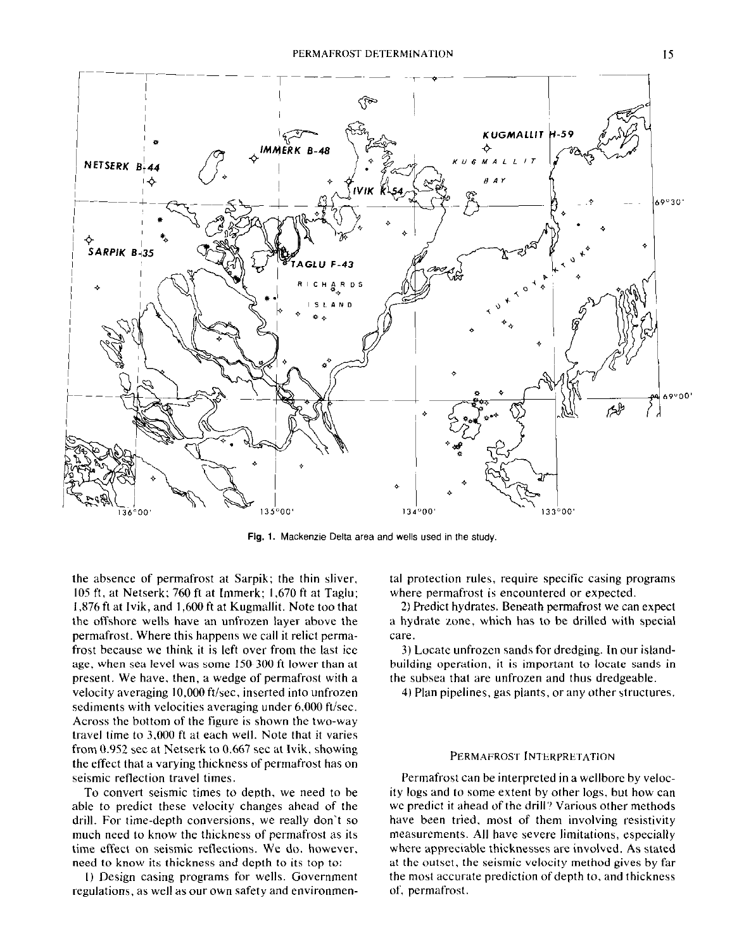

Fig. 1. Mackenzie Delta area and wells used in the study.

the absence of permafrost at Sarpik; the thin sliver,  $105$  ft, at Netserk; 760 ft at Immerk: 1,670 ft at Taglu; 1,876 ft at Ivik, and 1,600 ft at Kugmallit. Note too that the offshore wells have an unfrozen layer above the permafrost. Where this happens we call it relict permafrost because we think it is left over from the last ice age, when sea level was some 150-300 ft lower than at present. We have. then, a wedge of permafrost with a velocity averaging 10,000 ft/sec, inserted into unfrozen sediments with velocities averaging under 6,000 ft/sec. Across the bottom of the figure is shown the two-way travel time to 3,000 ft at each well. Note that it varies from  $0.952$  sec at Netserk to  $0.667$  sec at Ivik, showing the effect that a varying thickness of permafrost has on seismic reflection travel times.

To convert seismic times to depth, we need to be able to predict these velocity changes ahead of the drill. For time-depth conversions, we really don't so much need to know the thickness of permafrost as its time effect on seismic reflections. We do. however, need to know its thickness and depth to its top to:

I) Design casing programs for wells. Government regulations. as well as our own safety and environmental protection rules, require specific casing programs where permafrost is encountered or expected.

2) Predict hydrates. Beneath permafrost we can expect a hydrate zone, which has to be drilled with special care.

3) Locate unfrozen sands for dredging. In our islandbuilding operation, it is important to locate sands in the subsea that are unfrozen and thus dredgeable.

4) Plan pipelines, gas plants, or any other structures.

#### PERMAFROST INTERPRETATION

Permafrost can he interpreted in a wellborc by velocity logs and to some extent by other logs, but how can we predict it ahead of the drill? Various other methods have been tried. most of them involving resistivity measurements. All have severe limitations, especially where appreciable thicknesses are involved. As stated at the outset, the seismic velocity method gives by far the most accurate prediction of depth to, and thickness of, permafrost.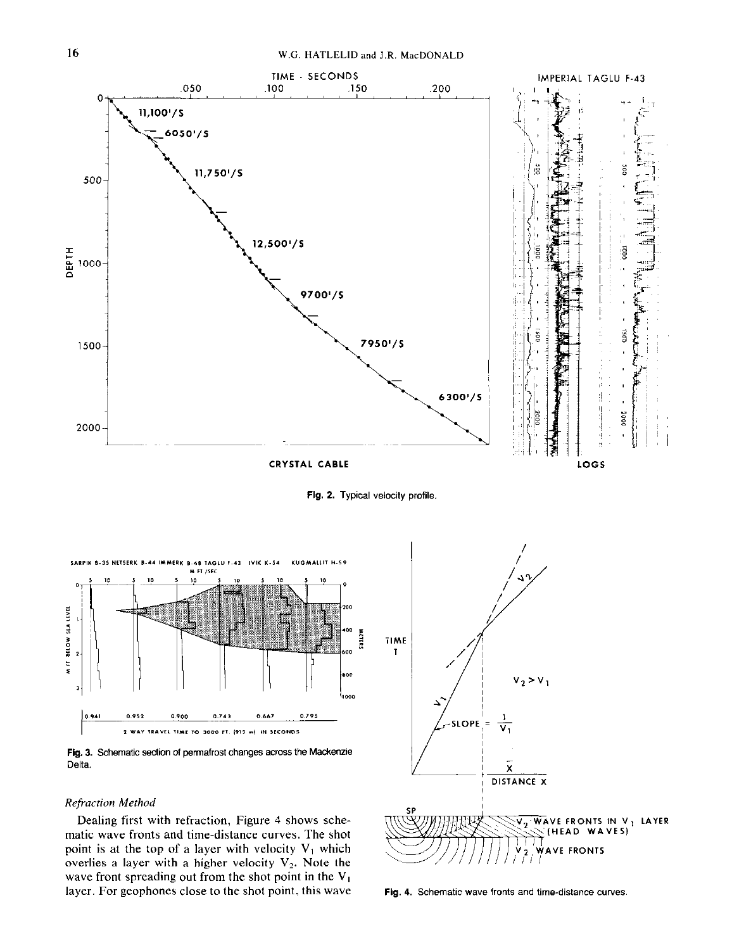

Fig. 2. Typical velocity profile.



Fig. 3. Schematic section of permafrost changes across the Mackenzie Delta.

## **Refraction Method**

Dealing first with refraction, Figure 4 shows schematic wave fronts and time-distance curves. The shot point is at the top of a layer with velocity  $V_1$  which overlies a layer with a higher velocity  $V_2$ . Note the wave front spreading out from the shot point in the  $V_1$ layer. For geophones close to the shot point, this wave



Fig. 4. Schematic wave fronts and time-distance curves.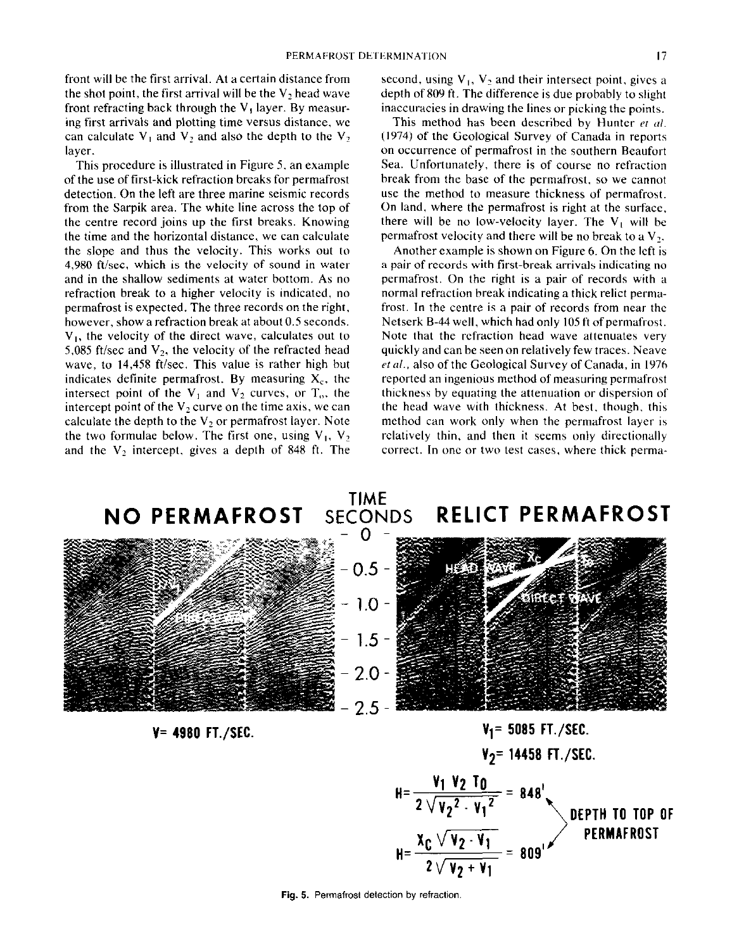front will be the first arrival. At acertain distance from the shot point, the first arrival will be the  $V_2$  head wave front refracting back through the  $V_1$  layer. By measuring first arrivals and plotting time versus distance, we can calculate  $V_1$  and  $V_2$  and also the depth to the  $V_2$ layer.

This procedure is illustrated in Figure 5, an example of the use of first-kick refraction breaks for permafrost detection. On the left are three marine seismic records from the Sarpik area. The white line across the top of the centre record joins up the first breaks. Knowing the time and the horizontal distance, we can calculate the slope and thus the velocity. This works out to 4,980 ft/sec, which is the velocity of sound in water and in the shallow sediments at water bottom. As no refraction break to a higher velocity is indicated, no permafrost is expected. The three records on the right, however, show a refraction break at about 0.5 seconds. V,, the velocity of the direct wave, calculates out to 5,085 ft/sec and  $V_2$ , the velocity of the refracted head wave, to 14,458 ft/sec. This value is rather high but indicates definite permafrost. By measuring  $X_c$ , the intersect point of the  $V_1$  and  $V_2$  curves, or  $T_0$ , the intercept point of the  $V_2$  curve on the time axis, we can calculate the depth to the  $V_2$  or permafrost layer. Note the two formulae below. The first one, using  $V_1$ ,  $V_2$ and the  $V_2$  intercept, gives a depth of 848 ft. The

second, using  $V_1$ ,  $V_2$  and their intersect point, gives a depth of 809 ft. The difference is due probably to slight inaccuracies in drawing the lines or picking the points.

This method has been described by Hunter et al. (1974) of the Geological Survey of Canada in reports on occurrence of permafrost in the southern Beaufort Sea. Unfortunately, there is of course no refraction break from the base of the permafrost, so we cannot use the method to measure thickness of permafrost. On land, where the permafrost is right at the surface, there will be no low-velocity layer. The  $V_1$  will be permafrost velocity and there will be no break to a  $V_2$ .

Another example is shown on Figure 6. On the left is a pair of records with first-break arrivals indicating no permafrost. On the right is a pair of records with a normal refraction break indicating a thick relict permafrost. In the centre is a pair of records from near the Netserk B-44 well, which had only 105 ft of permafrost. Note that the refraction head wave attenuates very quickly and can be seen on relatively few traces. Neave et al., also of the Geological Survey of Canada, in 1976 reported an ingenious method of measuring permafrost thickness by equating the attenuation or dispersion 01 the head wave with thickness. At best, though, this method can work only when the permafrost layer is relatively thin, and then it seems only directionally correct. In one or two test cases. where thick perma-



$$
H = \frac{v_1 v_2 T_0}{2 \sqrt{v_2^2 \cdot v_1^2}} = 848'
$$
  
DEPTH TO TOP OF PERMAFROST  

$$
H = \frac{x_C \sqrt{v_2 \cdot v_1}}{2 \sqrt{v_2 + v_1}} = 809'
$$

Fig. 5. Permafrost detection by refraction.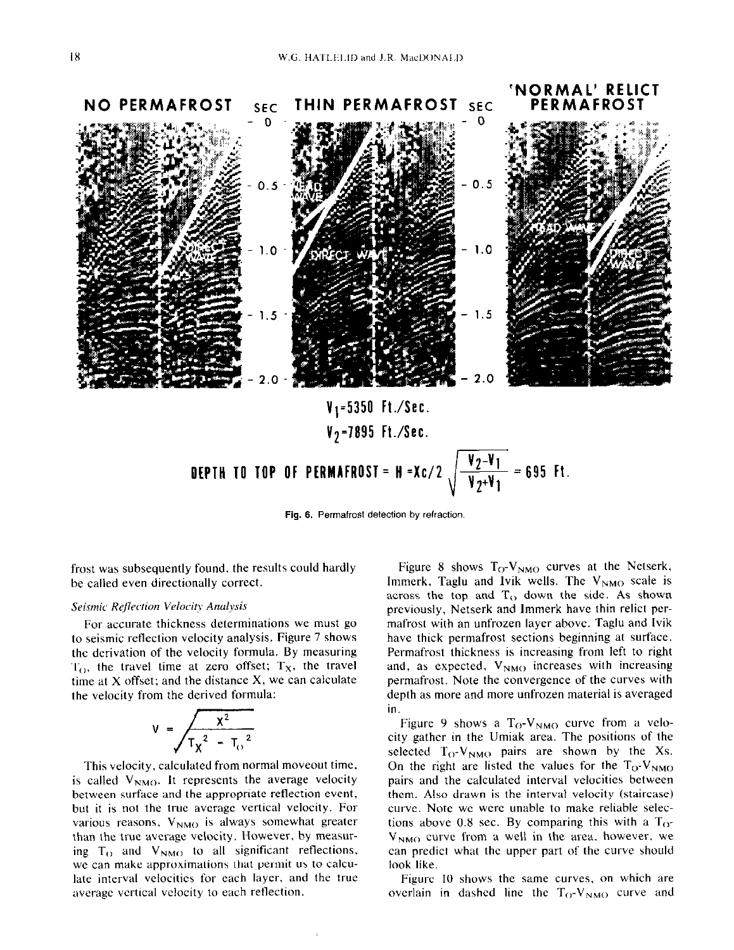

Fig. 5. Permafrost detection by refraction.

frost was subsequently found, the results could hardly be called even directionally correct.

# Seismic Reflection Velocity Analysis

For accurate thickness determinations we must go to seismic reflection velocity analysis. Figure 7 shows the derivation of the velocity formula. By measuring  $T_{\text{O}}$ , the travel time at zero offset;  $T_{\text{X}}$ , the travel time at X offset: and the distance X, we can calculate the velocity from the derived formula:

$$
V = \frac{x^2}{T_x^2 - T_0^2}
$$

This velocity, calculated from normal moveout time, is called  $V_{NMO}$ . It represents the average velocity between surface and the appropriate reflection event, but it is not the true average vertical velocity. For various reasons,  $V_{NMO}$  is always somewhat greater than the true average velocity. However. by measuring  $T_{\Omega}$  and  $V_{NMO}$  to all significant reflections, we can make approximations that permit us to calculate interval velocities for each layer, and the true average vertical velocity to each reflection.

Figure 8 shows  $T<sub>O</sub>-V<sub>NMO</sub>$  curves at the Netserk, Immerk, Taglu and Ivik wells. The  $V_{NMO}$  scale is across the top and  $T_{\Omega}$  down the side. As shown previously, Netserk and lmmerk have thin relict permafrost with an unfrozen layer above. Taglu and Ivik have thick permafrost sections beginning at surface. Permafrost thickness is increasing from left to right and, as expected,  $V_{NMO}$  increases with increasing permafrost. Note the convergence of the curves with depth as more and more unfrozen material is averaged in.

Figure 9 shows a  $T_{O}$ -V<sub>NMO</sub> curve from a velocity gather in the Umiak area. The positions of the selected  $T_{O}$ -V<sub>NMO</sub> pairs are shown by the Xs. On the right are listed the values for the  $T_{O}$ -V<sub>NMO</sub> pairs and the calculated interval velocities between them. Also drawn is the interval velocity (staircase) curve. Note we were unable to make reliable selections above 0.8 sec. By comparing this with a  $T_{\text{O}^+}$  $V_{NMO}$  curve from a well in the area, however, we can predict what the upper part of the curve should look like.

Figure IO shows the same curves, on which are overlain in dashed line the  $T_{O}$ -V<sub>NMO</sub> curve and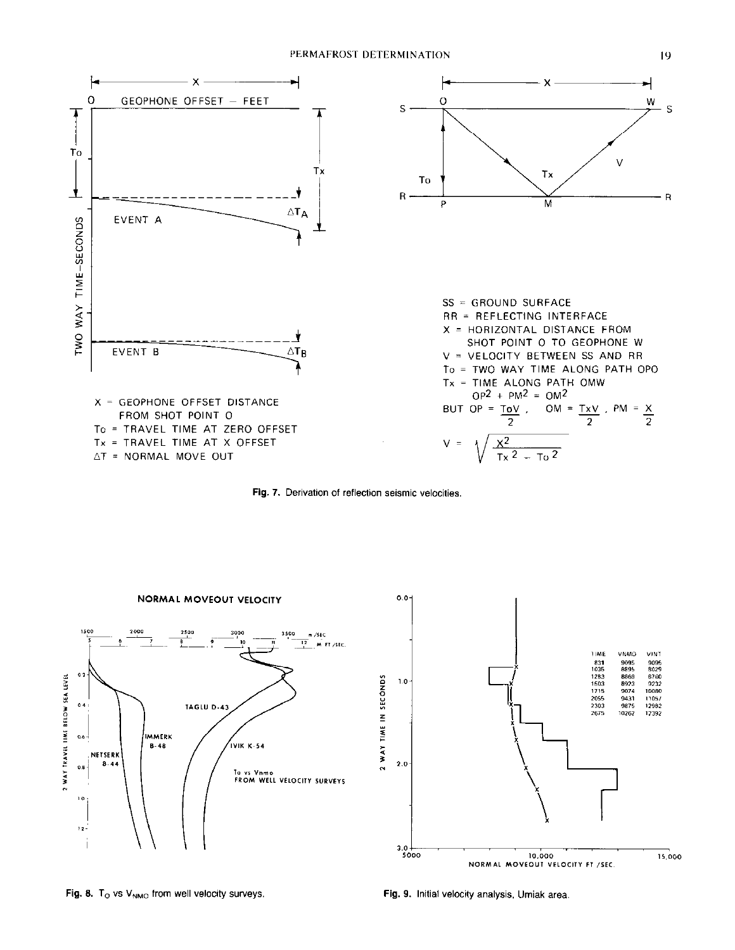

Fig. 7. Derivation of reflection seismic velocities.





Fig. 8.  $T_{\rm O}$  vs V<sub>NMO</sub> from well velocity surveys. Fig. 9. Initial velocity analysis, Umiak area.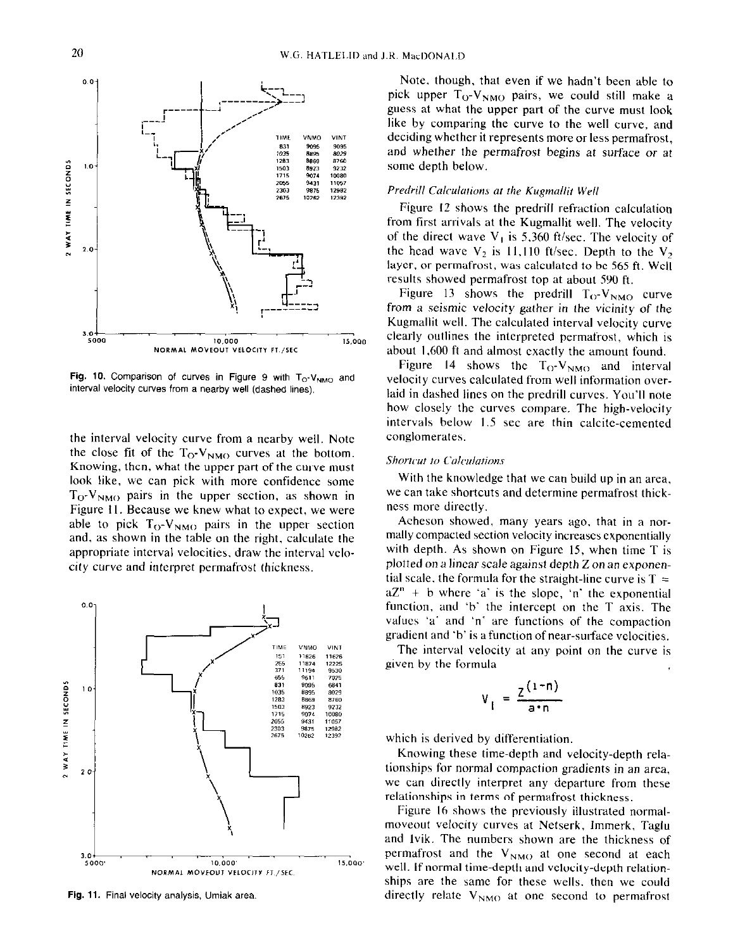

the interval velocity curve from a nearby well. Note the close fit of the  $T_{\rm O}$ -V<sub>NMO</sub> curves at the bottom. Knowing, then, what the upper part of the curve must look like, we can pick with more confidence some  $T_{O}$ -V<sub>NMO</sub> pairs in the upper section, as shown in Figure 11. Because we knew what to expect, we were able to pick  $T_{O}$ - $V_{NMO}$  pairs in the upper section and, as shown in the table on the right, calculate the appropriate interval velocities, draw the interval velocity curve and interpret permafrost thickness.



Fig. 11. Final velocity analysis, Umiak area.

Note. though. that even if we hadn't been able to pick upper  $T_0$ -V<sub>NMO</sub> pairs, we could still make a guess at what the upper part of the curve must look like by comparing the curve to the well curve, and deciding whether it represents more or less permafrost, and whether the permafrost begins at surface or at some depth below.

### Predrill Calculations at the Kugmallit Well

Figure I2 shows the predrill refraction calculation from first arrivals at the Kugmallit well. The velocity of the direct wave  $V_1$  is 5,360 ft/sec. The velocity of the head wave  $V_2$  is 11,110 ft/sec. Depth to the  $V_2$ laycr, or permafrost, was calculated to be 565 ft. Well results showed permafrost top at about 590 ft.

Figure 13 shows the predrill  $T_{O}$ -V<sub>NMO</sub> curve from a seismic velocity gather in the vicinity of the Kugmallit well. The calculated interval velocity curve clearly outlines the interpreted permafrost, which is about I.600 ft and almost exactly the amount found.

Figure 14 shows the  $T_{C}V_{NMO}$  and interval velocity curves calculated from well information overlaid in dashed lines on the predrill curves. You'll note how closely the curves compare. The high-velocity intervals below 1.5 sec are thin calcite-cemented conglomerates.

### Shortcut to Calculations

With the knowledge that we can build up in an area, we can take shortcuts and determine permafrost thickncss more directly.

Acheson showed, many years ago, that in a normally compacted section velocity increases exponentially with depth. As shown on Figure 15, when time T is plotted on a linear scale against depth Z on an exponential scale, the formula for the straight-line curve is  $T =$  $aZ<sup>n</sup> + b$  where 'a' is the slope, 'n' the exponential function, and 'b' the intercept on the T axis. The values 'a' and 'n' are functions of the compaction gradient and 'b' is a function of near-surface velocities.

The interval velocity at any point on the curve is given by the formula

$$
V_{I} = \frac{Z^{(1-n)}}{a^n}
$$

which is derived by differentiation.

Knowing these time-depth and velocity-depth relationships for normal compaction gradients in an area, we can directly interpret any departure from these relationships in terms of permafrost thickness.

Figure I6 shows the previously illustrated normalmoveout velocity curves at Netserk, Immerk, Taglu and Ivik. The numbers shown are the thickness of permafrost and the  $V_{NMO}$  at one second at each well. If normal time-depth and velocity-depth relationships are the same for these wells. then we could directly relate  $V_{NMO}$  at one second to permafrost

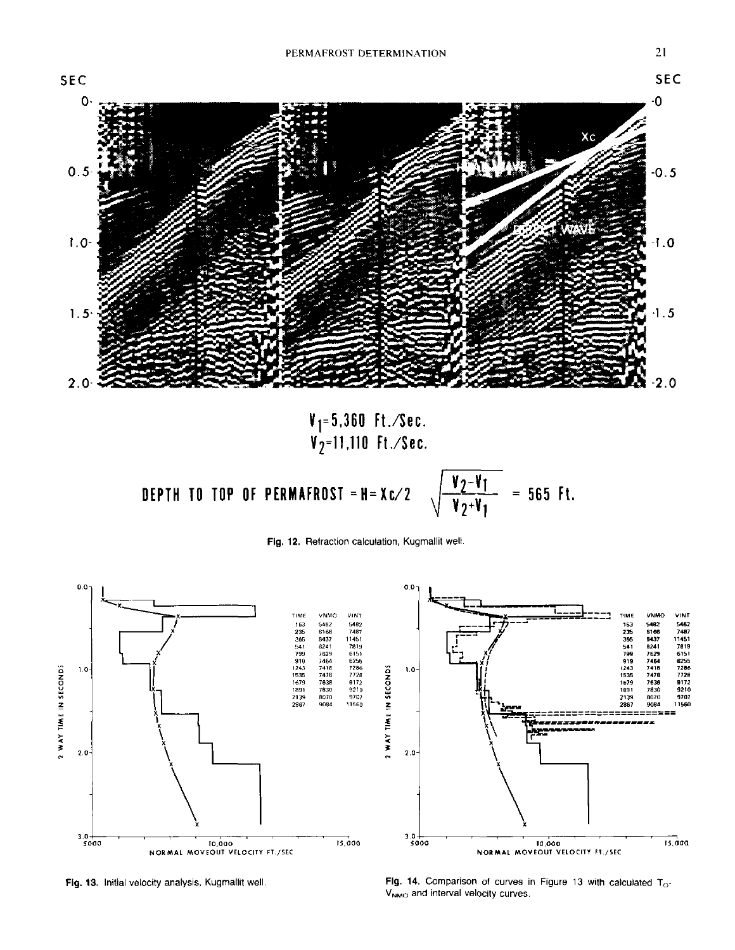

 $\frac{V_2-V_1}{V_2+V_1}$ DEPTH TO TOP OF PERMAFROST = H = Xc/2  $= 565$  Ft.





Fig. 13. Initial velocity analysis, Kugmallit well.

Fig. 14. Comparison of curves in Figure 13 with calculated  $T_{\text{O}}$ -V<sub>NMO</sub> and interval velocity curves.

21